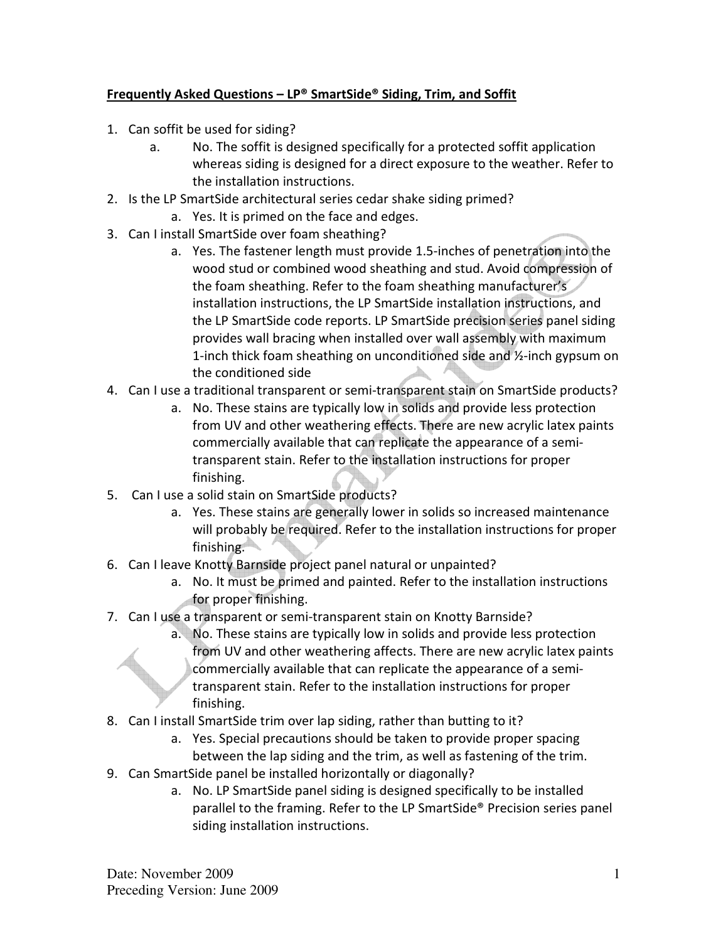## Frequently Asked Questions – LP® SmartSide® Siding, Trim, and Soffit

- 1. Can soffit be used for siding?
	- a. No. The soffit is designed specifically for a protected soffit application whereas siding is designed for a direct exposure to the weather. Refer to the installation instructions.
- 2. Is the LP SmartSide architectural series cedar shake siding primed?
	- a. Yes. It is primed on the face and edges.
- 3. Can I install SmartSide over foam sheathing?
	- a. Yes. The fastener length must provide 1.5-inches of penetration into the wood stud or combined wood sheathing and stud. Avoid compression of the foam sheathing. Refer to the foam sheathing manufacturer's installation instructions, the LP SmartSide installation instructions, and the LP SmartSide code reports. LP SmartSide precision series panel siding provides wall bracing when installed over wall assembly with maximum 1-inch thick foam sheathing on unconditioned side and ½-inch gypsum on the conditioned side
- 4. Can I use a traditional transparent or semi-transparent stain on SmartSide products?
	- a. No. These stains are typically low in solids and provide less protection from UV and other weathering effects. There are new acrylic latex paints commercially available that can replicate the appearance of a semitransparent stain. Refer to the installation instructions for proper finishing.
- 5. Can I use a solid stain on SmartSide products?
	- a. Yes. These stains are generally lower in solids so increased maintenance will probably be required. Refer to the installation instructions for proper finishing.
- 6. Can I leave Knotty Barnside project panel natural or unpainted?
	- a. No. It must be primed and painted. Refer to the installation instructions for proper finishing.
- 7. Can I use a transparent or semi-transparent stain on Knotty Barnside?
	- a. No. These stains are typically low in solids and provide less protection from UV and other weathering affects. There are new acrylic latex paints commercially available that can replicate the appearance of a semitransparent stain. Refer to the installation instructions for proper finishing.
- 8. Can I install SmartSide trim over lap siding, rather than butting to it?
	- a. Yes. Special precautions should be taken to provide proper spacing between the lap siding and the trim, as well as fastening of the trim.
- 9. Can SmartSide panel be installed horizontally or diagonally?
	- a. No. LP SmartSide panel siding is designed specifically to be installed parallel to the framing. Refer to the LP SmartSide® Precision series panel siding installation instructions.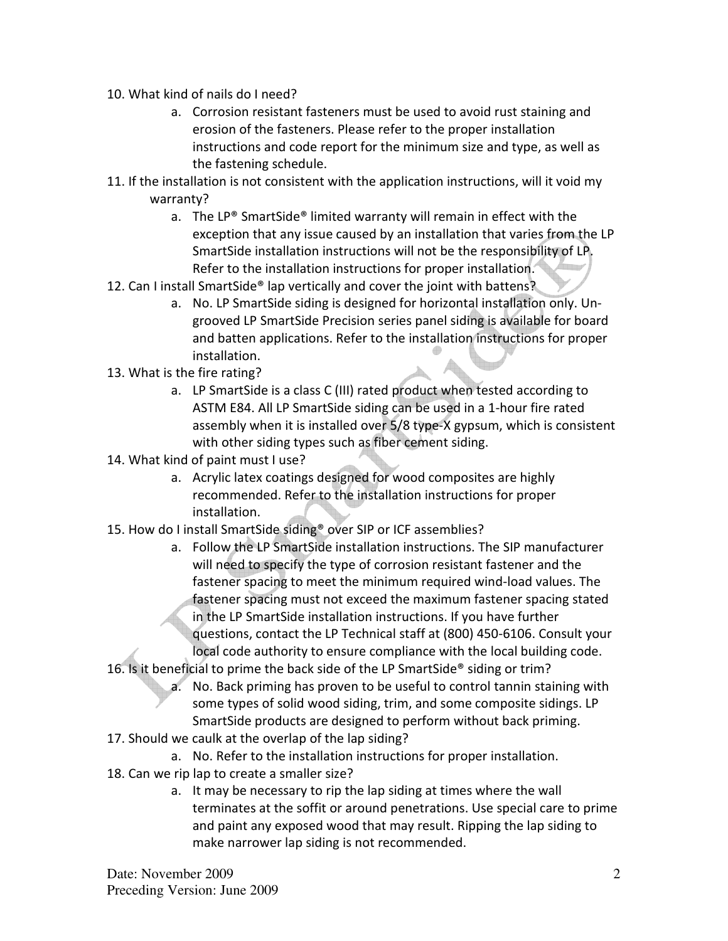- 10. What kind of nails do I need?
	- a. Corrosion resistant fasteners must be used to avoid rust staining and erosion of the fasteners. Please refer to the proper installation instructions and code report for the minimum size and type, as well as the fastening schedule.
- 11. If the installation is not consistent with the application instructions, will it void my warranty?
	- a. The LP® SmartSide® limited warranty will remain in effect with the exception that any issue caused by an installation that varies from the LP SmartSide installation instructions will not be the responsibility of LP. Refer to the installation instructions for proper installation.
- 12. Can I install SmartSide® lap vertically and cover the joint with battens?
	- a. No. LP SmartSide siding is designed for horizontal installation only. Ungrooved LP SmartSide Precision series panel siding is available for board and batten applications. Refer to the installation instructions for proper installation.
- 13. What is the fire rating?
	- a. LP SmartSide is a class C (III) rated product when tested according to ASTM E84. All LP SmartSide siding can be used in a 1-hour fire rated assembly when it is installed over 5/8 type-X gypsum, which is consistent with other siding types such as fiber cement siding.
- 14. What kind of paint must I use?
	- a. Acrylic latex coatings designed for wood composites are highly recommended. Refer to the installation instructions for proper installation.
- 15. How do I install SmartSide siding® over SIP or ICF assemblies?
	- a. Follow the LP SmartSide installation instructions. The SIP manufacturer will need to specify the type of corrosion resistant fastener and the fastener spacing to meet the minimum required wind-load values. The fastener spacing must not exceed the maximum fastener spacing stated in the LP SmartSide installation instructions. If you have further questions, contact the LP Technical staff at (800) 450-6106. Consult your local code authority to ensure compliance with the local building code.
- 16. Is it beneficial to prime the back side of the LP SmartSide® siding or trim?
	- a. No. Back priming has proven to be useful to control tannin staining with some types of solid wood siding, trim, and some composite sidings. LP SmartSide products are designed to perform without back priming.
- 17. Should we caulk at the overlap of the lap siding?
	- a. No. Refer to the installation instructions for proper installation.
- 18. Can we rip lap to create a smaller size?
	- a. It may be necessary to rip the lap siding at times where the wall terminates at the soffit or around penetrations. Use special care to prime and paint any exposed wood that may result. Ripping the lap siding to make narrower lap siding is not recommended.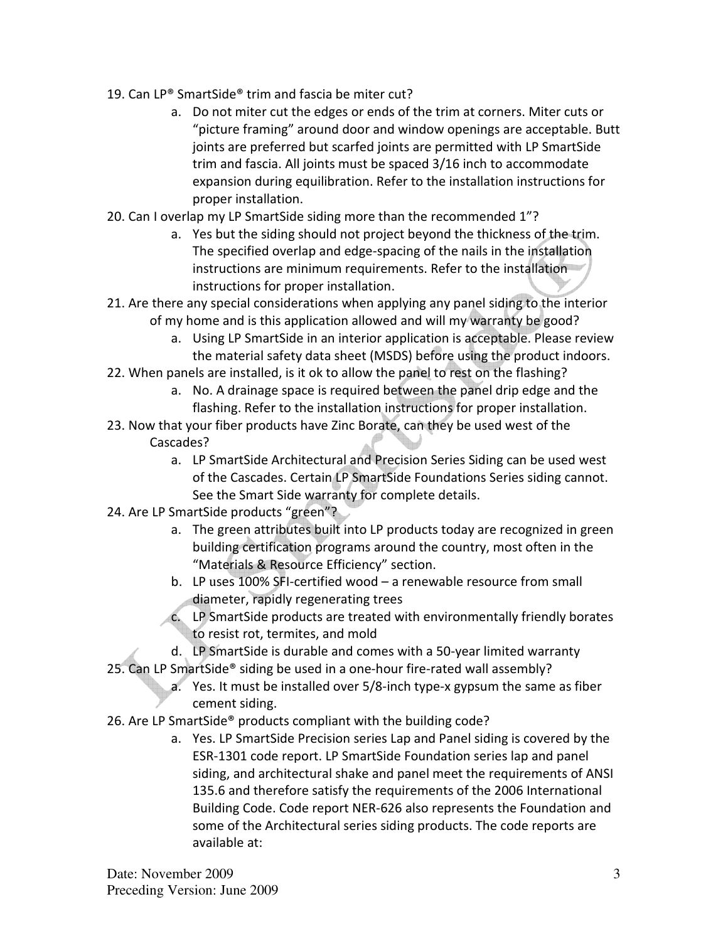- 19. Can LP® SmartSide® trim and fascia be miter cut?
	- a. Do not miter cut the edges or ends of the trim at corners. Miter cuts or "picture framing" around door and window openings are acceptable. Butt joints are preferred but scarfed joints are permitted with LP SmartSide trim and fascia. All joints must be spaced 3/16 inch to accommodate expansion during equilibration. Refer to the installation instructions for proper installation.
- 20. Can I overlap my LP SmartSide siding more than the recommended 1"?
	- a. Yes but the siding should not project beyond the thickness of the trim. The specified overlap and edge-spacing of the nails in the installation instructions are minimum requirements. Refer to the installation instructions for proper installation.
- 21. Are there any special considerations when applying any panel siding to the interior of my home and is this application allowed and will my warranty be good?
	- a. Using LP SmartSide in an interior application is acceptable. Please review the material safety data sheet (MSDS) before using the product indoors.
- 22. When panels are installed, is it ok to allow the panel to rest on the flashing?
	- a. No. A drainage space is required between the panel drip edge and the flashing. Refer to the installation instructions for proper installation.
- 23. Now that your fiber products have Zinc Borate, can they be used west of the Cascades?
	- a. LP SmartSide Architectural and Precision Series Siding can be used west of the Cascades. Certain LP SmartSide Foundations Series siding cannot. See the Smart Side warranty for complete details.
- 24. Are LP SmartSide products "green"?
	- a. The green attributes built into LP products today are recognized in green building certification programs around the country, most often in the "Materials & Resource Efficiency" section.
	- b. LP uses 100% SFI-certified wood a renewable resource from small diameter, rapidly regenerating trees
	- c. LP SmartSide products are treated with environmentally friendly borates to resist rot, termites, and mold
	- d. LP SmartSide is durable and comes with a 50-year limited warranty
- 25. Can LP SmartSide® siding be used in a one-hour fire-rated wall assembly?
	- a. Yes. It must be installed over 5/8-inch type-x gypsum the same as fiber cement siding.
- 26. Are LP SmartSide® products compliant with the building code?
	- a. Yes. LP SmartSide Precision series Lap and Panel siding is covered by the ESR-1301 code report. LP SmartSide Foundation series lap and panel siding, and architectural shake and panel meet the requirements of ANSI 135.6 and therefore satisfy the requirements of the 2006 International Building Code. Code report NER-626 also represents the Foundation and some of the Architectural series siding products. The code reports are available at: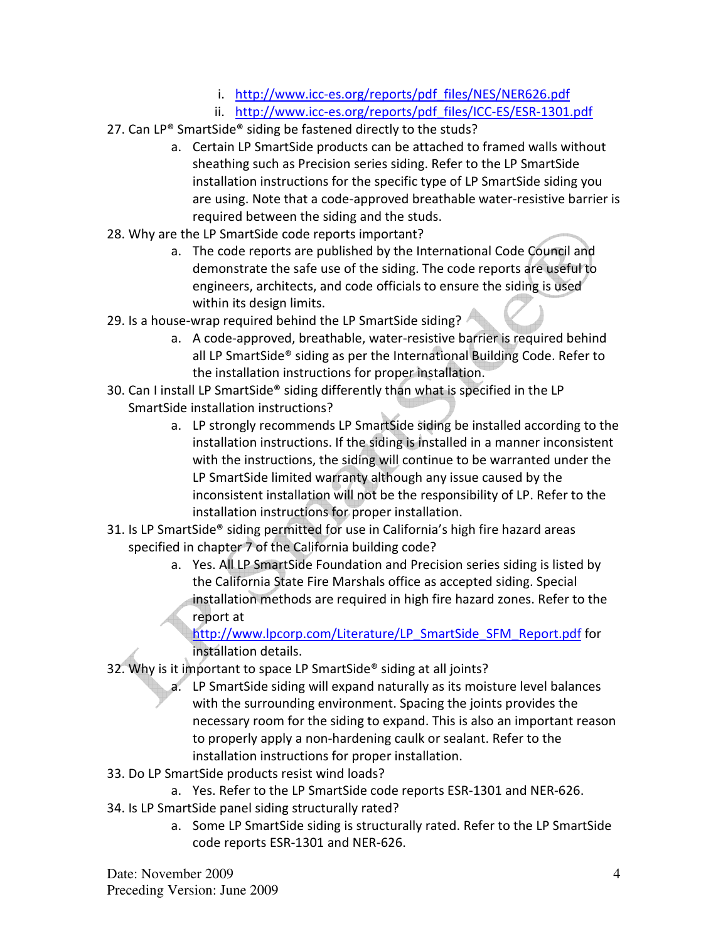- i. http://www.icc-es.org/reports/pdf\_files/NES/NER626.pdf
- ii. http://www.icc-es.org/reports/pdf\_files/ICC-ES/ESR-1301.pdf
- 27. Can LP® SmartSide® siding be fastened directly to the studs?
	- a. Certain LP SmartSide products can be attached to framed walls without sheathing such as Precision series siding. Refer to the LP SmartSide installation instructions for the specific type of LP SmartSide siding you are using. Note that a code-approved breathable water-resistive barrier is required between the siding and the studs.
- 28. Why are the LP SmartSide code reports important?
	- a. The code reports are published by the International Code Council and demonstrate the safe use of the siding. The code reports are useful to engineers, architects, and code officials to ensure the siding is used within its design limits.
- 29. Is a house-wrap required behind the LP SmartSide siding?
	- a. A code-approved, breathable, water-resistive barrier is required behind all LP SmartSide® siding as per the International Building Code. Refer to the installation instructions for proper installation.
- 30. Can I install LP SmartSide® siding differently than what is specified in the LP SmartSide installation instructions?
	- a. LP strongly recommends LP SmartSide siding be installed according to the installation instructions. If the siding is installed in a manner inconsistent with the instructions, the siding will continue to be warranted under the LP SmartSide limited warranty although any issue caused by the inconsistent installation will not be the responsibility of LP. Refer to the installation instructions for proper installation.
- 31. Is LP SmartSide® siding permitted for use in California's high fire hazard areas specified in chapter 7 of the California building code?
	- a. Yes. All LP SmartSide Foundation and Precision series siding is listed by the California State Fire Marshals office as accepted siding. Special installation methods are required in high fire hazard zones. Refer to the report at

http://www.lpcorp.com/Literature/LP\_SmartSide\_SFM\_Report.pdf for installation details.

- 32. Why is it important to space LP SmartSide® siding at all joints?
	- a. LP SmartSide siding will expand naturally as its moisture level balances with the surrounding environment. Spacing the joints provides the necessary room for the siding to expand. This is also an important reason to properly apply a non-hardening caulk or sealant. Refer to the installation instructions for proper installation.
- 33. Do LP SmartSide products resist wind loads?
	- a. Yes. Refer to the LP SmartSide code reports ESR-1301 and NER-626.
- 34. Is LP SmartSide panel siding structurally rated?
	- a. Some LP SmartSide siding is structurally rated. Refer to the LP SmartSide code reports ESR-1301 and NER-626.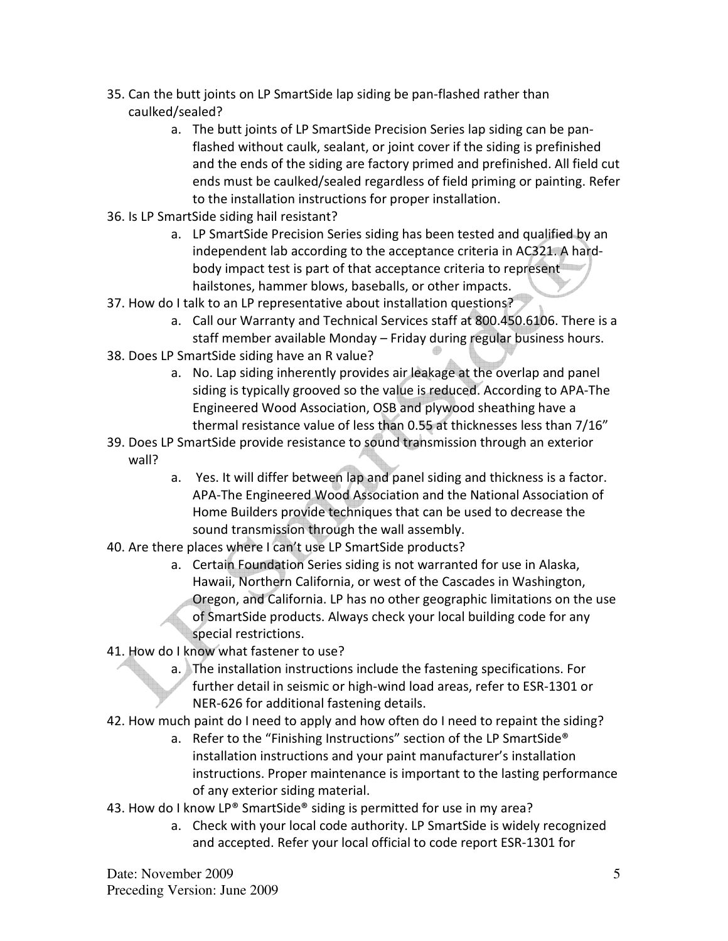- 35. Can the butt joints on LP SmartSide lap siding be pan-flashed rather than caulked/sealed?
	- a. The butt joints of LP SmartSide Precision Series lap siding can be panflashed without caulk, sealant, or joint cover if the siding is prefinished and the ends of the siding are factory primed and prefinished. All field cut ends must be caulked/sealed regardless of field priming or painting. Refer to the installation instructions for proper installation.
- 36. Is LP SmartSide siding hail resistant?
	- a. LP SmartSide Precision Series siding has been tested and qualified by an independent lab according to the acceptance criteria in AC321. A hardbody impact test is part of that acceptance criteria to represent hailstones, hammer blows, baseballs, or other impacts.
- 37. How do I talk to an LP representative about installation questions?
	- a. Call our Warranty and Technical Services staff at 800.450.6106. There is a staff member available Monday – Friday during regular business hours.
- 38. Does LP SmartSide siding have an R value?
	- a. No. Lap siding inherently provides air leakage at the overlap and panel siding is typically grooved so the value is reduced. According to APA-The Engineered Wood Association, OSB and plywood sheathing have a thermal resistance value of less than 0.55 at thicknesses less than 7/16"
- 39. Does LP SmartSide provide resistance to sound transmission through an exterior wall?
	- a. Yes. It will differ between lap and panel siding and thickness is a factor. APA-The Engineered Wood Association and the National Association of Home Builders provide techniques that can be used to decrease the sound transmission through the wall assembly.
- 40. Are there places where I can't use LP SmartSide products?
	- a. Certain Foundation Series siding is not warranted for use in Alaska, Hawaii, Northern California, or west of the Cascades in Washington, Oregon, and California. LP has no other geographic limitations on the use of SmartSide products. Always check your local building code for any special restrictions.
- 41. How do I know what fastener to use?
	- a. The installation instructions include the fastening specifications. For further detail in seismic or high-wind load areas, refer to ESR-1301 or NER-626 for additional fastening details.
- 42. How much paint do I need to apply and how often do I need to repaint the siding?
	- a. Refer to the "Finishing Instructions" section of the LP SmartSide® installation instructions and your paint manufacturer's installation instructions. Proper maintenance is important to the lasting performance of any exterior siding material.
- 43. How do I know LP® SmartSide® siding is permitted for use in my area?
	- a. Check with your local code authority. LP SmartSide is widely recognized and accepted. Refer your local official to code report ESR-1301 for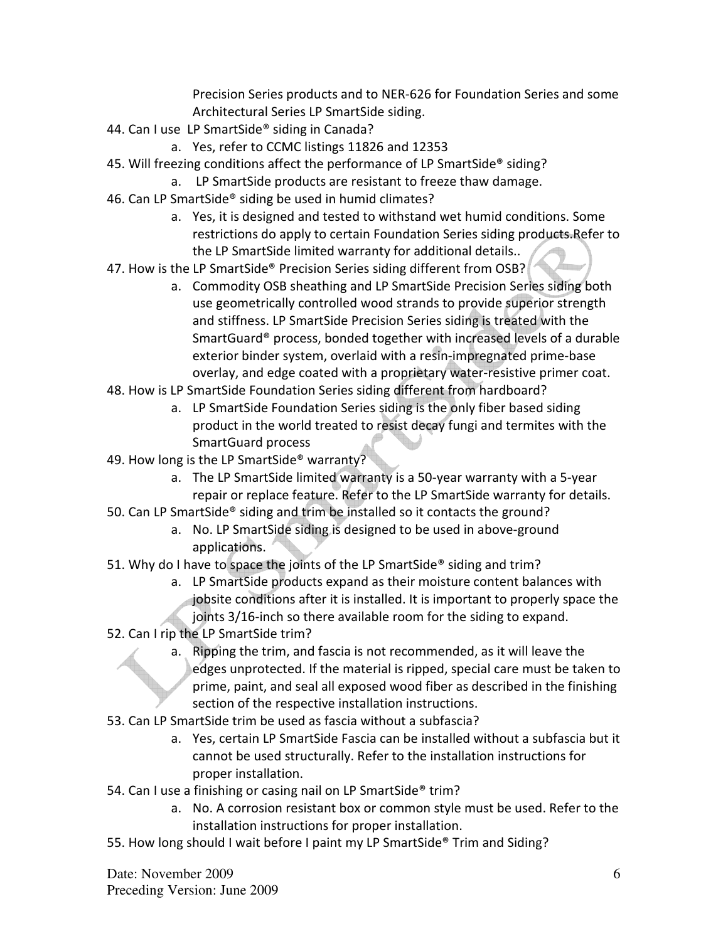Precision Series products and to NER-626 for Foundation Series and some Architectural Series LP SmartSide siding.

- 44. Can I use LP SmartSide® siding in Canada?
	- a. Yes, refer to CCMC listings 11826 and 12353
- 45. Will freezing conditions affect the performance of LP SmartSide® siding?
	- a. LP SmartSide products are resistant to freeze thaw damage.
- 46. Can LP SmartSide® siding be used in humid climates?
	- a. Yes, it is designed and tested to withstand wet humid conditions. Some restrictions do apply to certain Foundation Series siding products.Refer to the LP SmartSide limited warranty for additional details..
- 47. How is the LP SmartSide® Precision Series siding different from OSB?
	- a. Commodity OSB sheathing and LP SmartSide Precision Series siding both use geometrically controlled wood strands to provide superior strength and stiffness. LP SmartSide Precision Series siding is treated with the SmartGuard® process, bonded together with increased levels of a durable exterior binder system, overlaid with a resin-impregnated prime-base overlay, and edge coated with a proprietary water-resistive primer coat.
- 48. How is LP SmartSide Foundation Series siding different from hardboard?
	- a. LP SmartSide Foundation Series siding is the only fiber based siding product in the world treated to resist decay fungi and termites with the SmartGuard process
- 49. How long is the LP SmartSide<sup>®</sup> warranty?
	- a. The LP SmartSide limited warranty is a 50-year warranty with a 5-year repair or replace feature. Refer to the LP SmartSide warranty for details.
- 50. Can LP SmartSide® siding and trim be installed so it contacts the ground?
	- a. No. LP SmartSide siding is designed to be used in above-ground applications.
- 51. Why do I have to space the joints of the LP SmartSide® siding and trim?
	- a. LP SmartSide products expand as their moisture content balances with jobsite conditions after it is installed. It is important to properly space the joints 3/16-inch so there available room for the siding to expand.
- 52. Can I rip the LP SmartSide trim?
	- a. Ripping the trim, and fascia is not recommended, as it will leave the edges unprotected. If the material is ripped, special care must be taken to prime, paint, and seal all exposed wood fiber as described in the finishing section of the respective installation instructions.
- 53. Can LP SmartSide trim be used as fascia without a subfascia?
	- a. Yes, certain LP SmartSide Fascia can be installed without a subfascia but it cannot be used structurally. Refer to the installation instructions for proper installation.
- 54. Can I use a finishing or casing nail on LP SmartSide<sup>®</sup> trim?
	- a. No. A corrosion resistant box or common style must be used. Refer to the installation instructions for proper installation.
- 55. How long should I wait before I paint my LP SmartSide® Trim and Siding?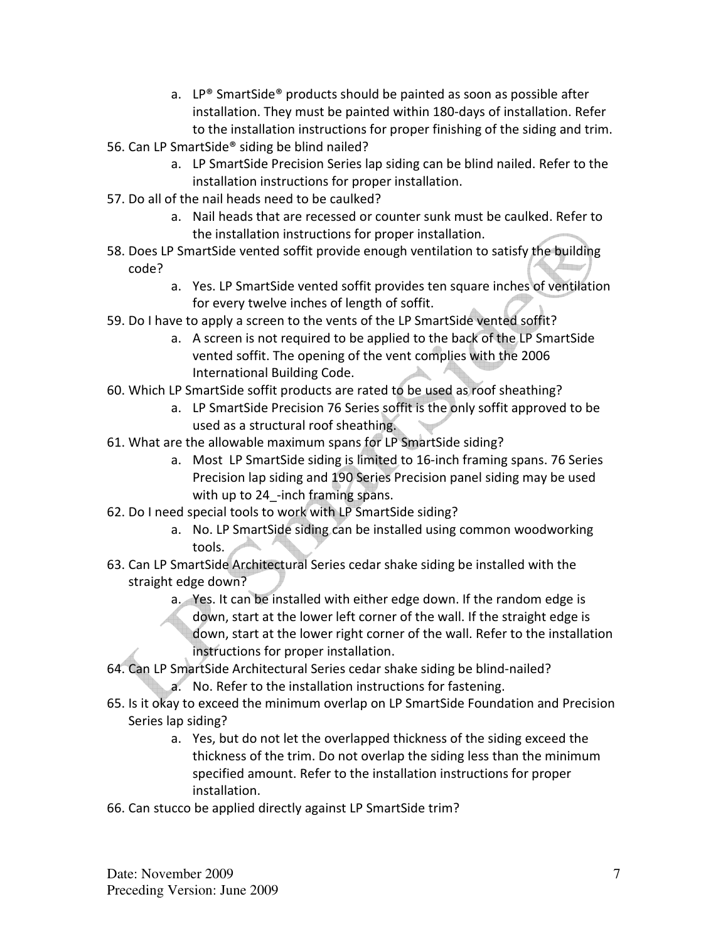- a. LP® SmartSide® products should be painted as soon as possible after installation. They must be painted within 180-days of installation. Refer to the installation instructions for proper finishing of the siding and trim.
- 56. Can LP SmartSide® siding be blind nailed?
	- a. LP SmartSide Precision Series lap siding can be blind nailed. Refer to the installation instructions for proper installation.
- 57. Do all of the nail heads need to be caulked?
	- a. Nail heads that are recessed or counter sunk must be caulked. Refer to the installation instructions for proper installation.
- 58. Does LP SmartSide vented soffit provide enough ventilation to satisfy the building code?
	- a. Yes. LP SmartSide vented soffit provides ten square inches of ventilation for every twelve inches of length of soffit.
- 59. Do I have to apply a screen to the vents of the LP SmartSide vented soffit?
	- a. A screen is not required to be applied to the back of the LP SmartSide vented soffit. The opening of the vent complies with the 2006 International Building Code.
- 60. Which LP SmartSide soffit products are rated to be used as roof sheathing?
	- a. LP SmartSide Precision 76 Series soffit is the only soffit approved to be used as a structural roof sheathing.
- 61. What are the allowable maximum spans for LP SmartSide siding?
	- a. Most LP SmartSide siding is limited to 16-inch framing spans. 76 Series Precision lap siding and 190 Series Precision panel siding may be used with up to 24 -inch framing spans.
- 62. Do I need special tools to work with LP SmartSide siding?
	- a. No. LP SmartSide siding can be installed using common woodworking tools.
- 63. Can LP SmartSide Architectural Series cedar shake siding be installed with the straight edge down?
	- a. Yes. It can be installed with either edge down. If the random edge is down, start at the lower left corner of the wall. If the straight edge is down, start at the lower right corner of the wall. Refer to the installation instructions for proper installation.
- 64. Can LP SmartSide Architectural Series cedar shake siding be blind-nailed? a. No. Refer to the installation instructions for fastening.
- 65. Is it okay to exceed the minimum overlap on LP SmartSide Foundation and Precision Series lap siding?
	- a. Yes, but do not let the overlapped thickness of the siding exceed the thickness of the trim. Do not overlap the siding less than the minimum specified amount. Refer to the installation instructions for proper installation.
- 66. Can stucco be applied directly against LP SmartSide trim?